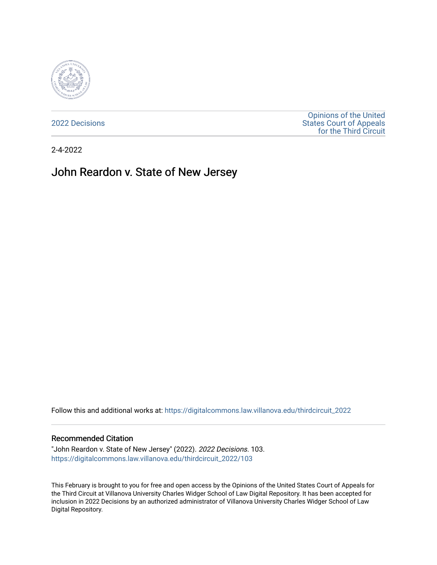

[2022 Decisions](https://digitalcommons.law.villanova.edu/thirdcircuit_2022)

[Opinions of the United](https://digitalcommons.law.villanova.edu/thirdcircuit)  [States Court of Appeals](https://digitalcommons.law.villanova.edu/thirdcircuit)  [for the Third Circuit](https://digitalcommons.law.villanova.edu/thirdcircuit) 

2-4-2022

# John Reardon v. State of New Jersey

Follow this and additional works at: [https://digitalcommons.law.villanova.edu/thirdcircuit\\_2022](https://digitalcommons.law.villanova.edu/thirdcircuit_2022?utm_source=digitalcommons.law.villanova.edu%2Fthirdcircuit_2022%2F103&utm_medium=PDF&utm_campaign=PDFCoverPages) 

#### Recommended Citation

"John Reardon v. State of New Jersey" (2022). 2022 Decisions. 103. [https://digitalcommons.law.villanova.edu/thirdcircuit\\_2022/103](https://digitalcommons.law.villanova.edu/thirdcircuit_2022/103?utm_source=digitalcommons.law.villanova.edu%2Fthirdcircuit_2022%2F103&utm_medium=PDF&utm_campaign=PDFCoverPages)

This February is brought to you for free and open access by the Opinions of the United States Court of Appeals for the Third Circuit at Villanova University Charles Widger School of Law Digital Repository. It has been accepted for inclusion in 2022 Decisions by an authorized administrator of Villanova University Charles Widger School of Law Digital Repository.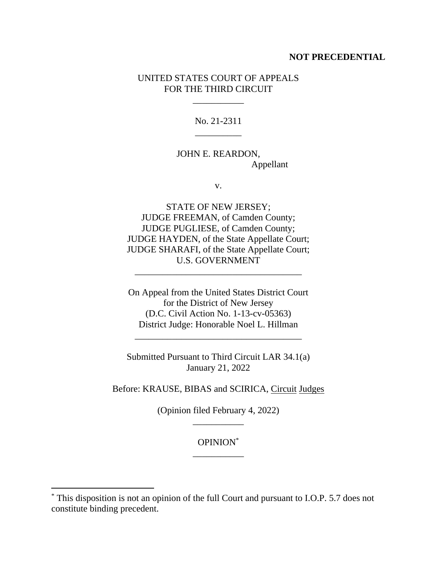### **NOT PRECEDENTIAL**

## UNITED STATES COURT OF APPEALS FOR THE THIRD CIRCUIT

\_\_\_\_\_\_\_\_\_\_\_

No. 21-2311 \_\_\_\_\_\_\_\_\_\_

JOHN E. REARDON, Appellant

v.

STATE OF NEW JERSEY; JUDGE FREEMAN, of Camden County; JUDGE PUGLIESE, of Camden County; JUDGE HAYDEN, of the State Appellate Court; JUDGE SHARAFI, of the State Appellate Court; U.S. GOVERNMENT

\_\_\_\_\_\_\_\_\_\_\_\_\_\_\_\_\_\_\_\_\_\_\_\_\_\_\_\_\_\_\_\_\_\_\_\_

On Appeal from the United States District Court for the District of New Jersey (D.C. Civil Action No. 1-13-cv-05363) District Judge: Honorable Noel L. Hillman

\_\_\_\_\_\_\_\_\_\_\_\_\_\_\_\_\_\_\_\_\_\_\_\_\_\_\_\_\_\_\_\_\_\_\_\_

Submitted Pursuant to Third Circuit LAR 34.1(a) January 21, 2022

Before: KRAUSE, BIBAS and SCIRICA, Circuit Judges

(Opinion filed February 4, 2022) \_\_\_\_\_\_\_\_\_\_\_

> OPINION\* \_\_\_\_\_\_\_\_\_\_\_

<sup>\*</sup> This disposition is not an opinion of the full Court and pursuant to I.O.P. 5.7 does not constitute binding precedent.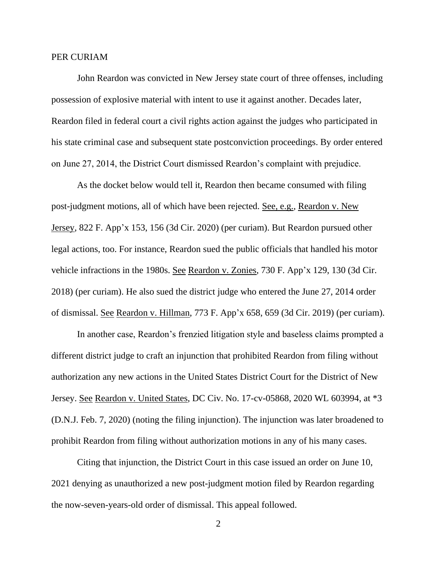#### PER CURIAM

John Reardon was convicted in New Jersey state court of three offenses, including possession of explosive material with intent to use it against another. Decades later, Reardon filed in federal court a civil rights action against the judges who participated in his state criminal case and subsequent state postconviction proceedings. By order entered on June 27, 2014, the District Court dismissed Reardon's complaint with prejudice.

As the docket below would tell it, Reardon then became consumed with filing post-judgment motions, all of which have been rejected. See, e.g., Reardon v. New Jersey, 822 F. App'x 153, 156 (3d Cir. 2020) (per curiam). But Reardon pursued other legal actions, too. For instance, Reardon sued the public officials that handled his motor vehicle infractions in the 1980s. See Reardon v. Zonies, 730 F. App'x 129, 130 (3d Cir. 2018) (per curiam). He also sued the district judge who entered the June 27, 2014 order of dismissal. See Reardon v. Hillman, 773 F. App'x 658, 659 (3d Cir. 2019) (per curiam).

In another case, Reardon's frenzied litigation style and baseless claims prompted a different district judge to craft an injunction that prohibited Reardon from filing without authorization any new actions in the United States District Court for the District of New Jersey. See Reardon v. United States, DC Civ. No. 17-cv-05868, 2020 WL 603994, at \*3 (D.N.J. Feb. 7, 2020) (noting the filing injunction). The injunction was later broadened to prohibit Reardon from filing without authorization motions in any of his many cases.

Citing that injunction, the District Court in this case issued an order on June 10, 2021 denying as unauthorized a new post-judgment motion filed by Reardon regarding the now-seven-years-old order of dismissal. This appeal followed.

2